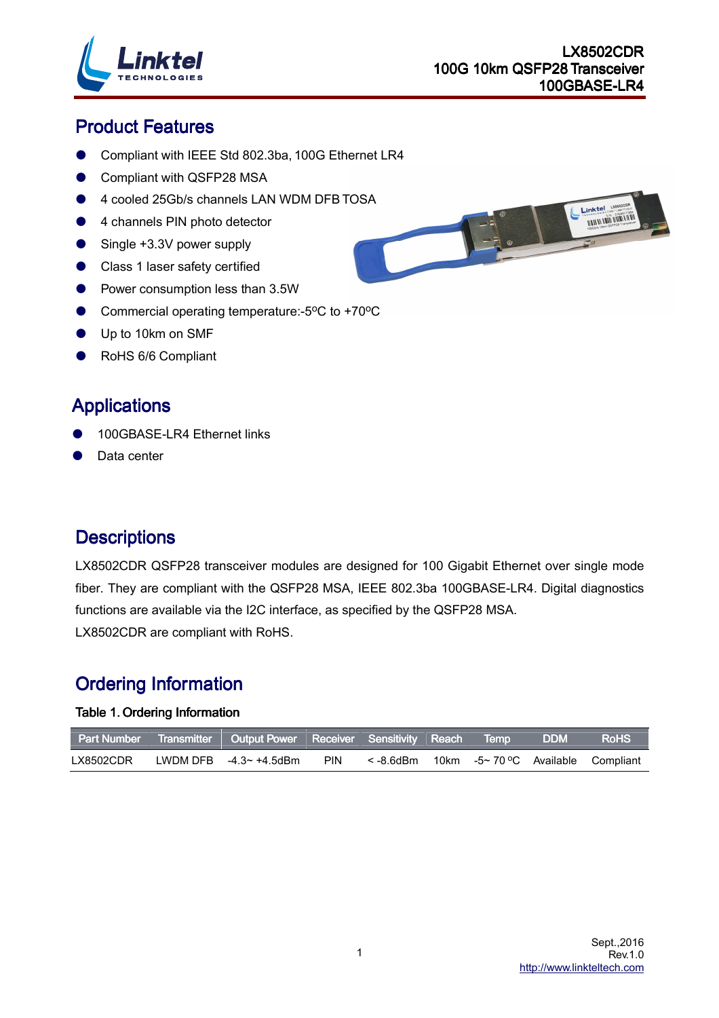

Ξ

# **Product Features**

- Compliant with IEEE Std 802.3ba, 100G Ethernet LR4
- **Compliant with QSFP28 MSA**
- 4 cooled 25Gb/s channels LAN WDM DFB TOSA
- 4 channels PIN photo detector
- Single +3.3V power supply
- Class 1 laser safety certified
- Power consumption less than 3.5W
- Commercial operating temperature:-5<sup>o</sup>C to +70<sup>o</sup>C
- Up to 10km on SMF
- RoHS 6/6 Compliant

### **Applications**

- 100GBASE-LR4 Ethernet links
- Data center

### **Descriptions**

LX8502CDR QSFP28 transceiver modules are designed for 100 Gigabit Ethernet over single mode fiber. They are compliant with the QSFP28 MSA, IEEE 802.3ba 100GBASE-LR4. Digital diagnostics functions are available via the I2C interface, as specified by the QSFP28 MSA. LX8502CDR are compliant with RoHS.

# **Ordering Information**

#### Table 1. Ordering Information

|           | Part Number Transmitter Output Power Receiver Sensitivity Reach Temp |            |                                                        |  | <b>DDM</b> | <b>RoHS</b> |
|-----------|----------------------------------------------------------------------|------------|--------------------------------------------------------|--|------------|-------------|
| LX8502CDR | LWDM DFB $-4.3\sim +4.5$ dBm                                         | <b>PIN</b> | $\le$ -8.6dBm 10km -5 $\sim$ 70 °C Available Compliant |  |            |             |

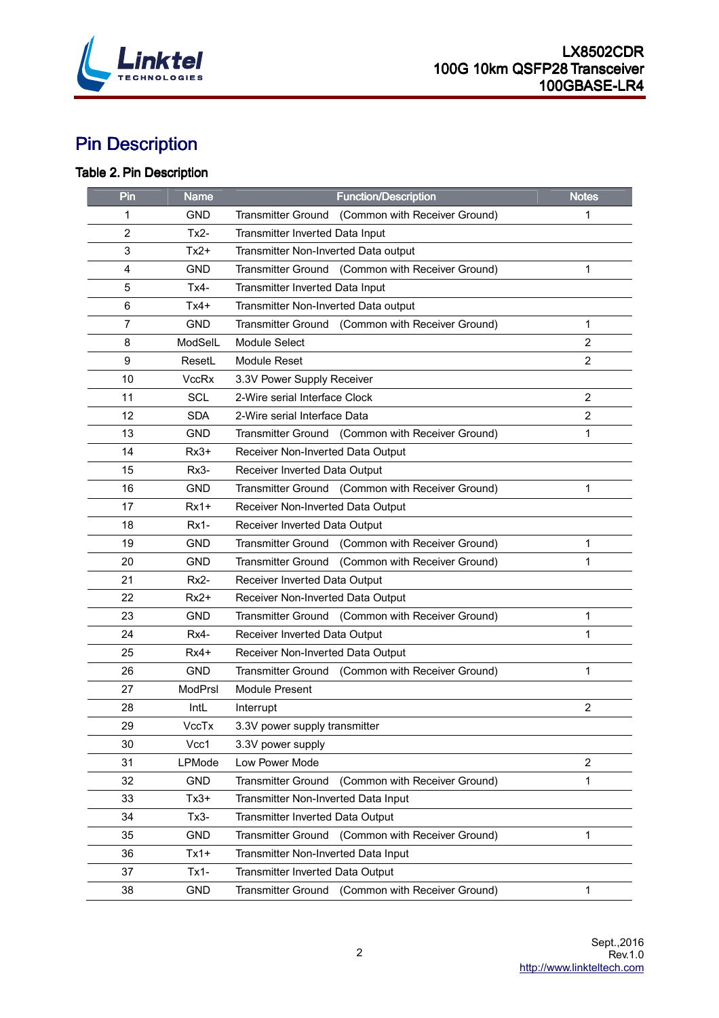

# **Pin Description**

### Table 2. Pin Description

| Pin            | <b>Name</b>    | <b>Function/Description</b>                                | <b>Notes</b>   |
|----------------|----------------|------------------------------------------------------------|----------------|
| 1              | GND            | (Common with Receiver Ground)<br><b>Transmitter Ground</b> | 1              |
| 2              | $Tx2-$         | Transmitter Inverted Data Input                            |                |
| 3              | $Tx2+$         | Transmitter Non-Inverted Data output                       |                |
| $\overline{4}$ | <b>GND</b>     | Transmitter Ground (Common with Receiver Ground)           | 1              |
| 5              | $Tx4-$         | Transmitter Inverted Data Input                            |                |
| 6              | Tx4+           | Transmitter Non-Inverted Data output                       |                |
| 7              | <b>GND</b>     | Transmitter Ground (Common with Receiver Ground)           | 1              |
| 8              | ModSelL        | <b>Module Select</b>                                       | $\overline{2}$ |
| 9              | ResetL         | <b>Module Reset</b>                                        | $\overline{2}$ |
| 10             | <b>VccRx</b>   | 3.3V Power Supply Receiver                                 |                |
| 11             | <b>SCL</b>     | 2-Wire serial Interface Clock                              | $\overline{2}$ |
| 12             | <b>SDA</b>     | 2-Wire serial Interface Data                               | 2              |
| 13             | <b>GND</b>     | Transmitter Ground (Common with Receiver Ground)           | $\mathbf{1}$   |
| 14             | $Rx3+$         | Receiver Non-Inverted Data Output                          |                |
| 15             | $Rx3-$         | Receiver Inverted Data Output                              |                |
| 16             | <b>GND</b>     | Transmitter Ground (Common with Receiver Ground)           | 1              |
| 17             | $Rx1+$         | Receiver Non-Inverted Data Output                          |                |
| 18             | $Rx1-$         | Receiver Inverted Data Output                              |                |
| 19             | GND            | Transmitter Ground (Common with Receiver Ground)           | 1              |
| 20             | <b>GND</b>     | <b>Transmitter Ground</b><br>(Common with Receiver Ground) | 1              |
| 21             | Rx2-           | Receiver Inverted Data Output                              |                |
| 22             | $Rx2+$         | Receiver Non-Inverted Data Output                          |                |
| 23             | <b>GND</b>     | Transmitter Ground (Common with Receiver Ground)           | 1              |
| 24             | Rx4-           | Receiver Inverted Data Output                              | 1              |
| 25             | Rx4+           | Receiver Non-Inverted Data Output                          |                |
| 26             | <b>GND</b>     | <b>Transmitter Ground</b><br>(Common with Receiver Ground) | 1              |
| 27             | <b>ModPrsl</b> | <b>Module Present</b>                                      |                |
| 28             | IntL           | Interrupt                                                  | $\overline{c}$ |
| 29             | VccTx          | 3.3V power supply transmitter                              |                |
| 30             | Vcc1           | 3.3V power supply                                          |                |
| 31             | <b>LPMode</b>  | Low Power Mode                                             | $\overline{2}$ |
| 32             | <b>GND</b>     | <b>Transmitter Ground</b><br>(Common with Receiver Ground) | 1              |
| 33             | $Tx3+$         | Transmitter Non-Inverted Data Input                        |                |
| 34             | $Tx3-$         | Transmitter Inverted Data Output                           |                |
| 35             | <b>GND</b>     | <b>Transmitter Ground</b><br>(Common with Receiver Ground) | 1              |
| 36             | $Tx1+$         | Transmitter Non-Inverted Data Input                        |                |
| 37             | $Tx1-$         | Transmitter Inverted Data Output                           |                |
| 38             | <b>GND</b>     | <b>Transmitter Ground</b><br>(Common with Receiver Ground) | 1              |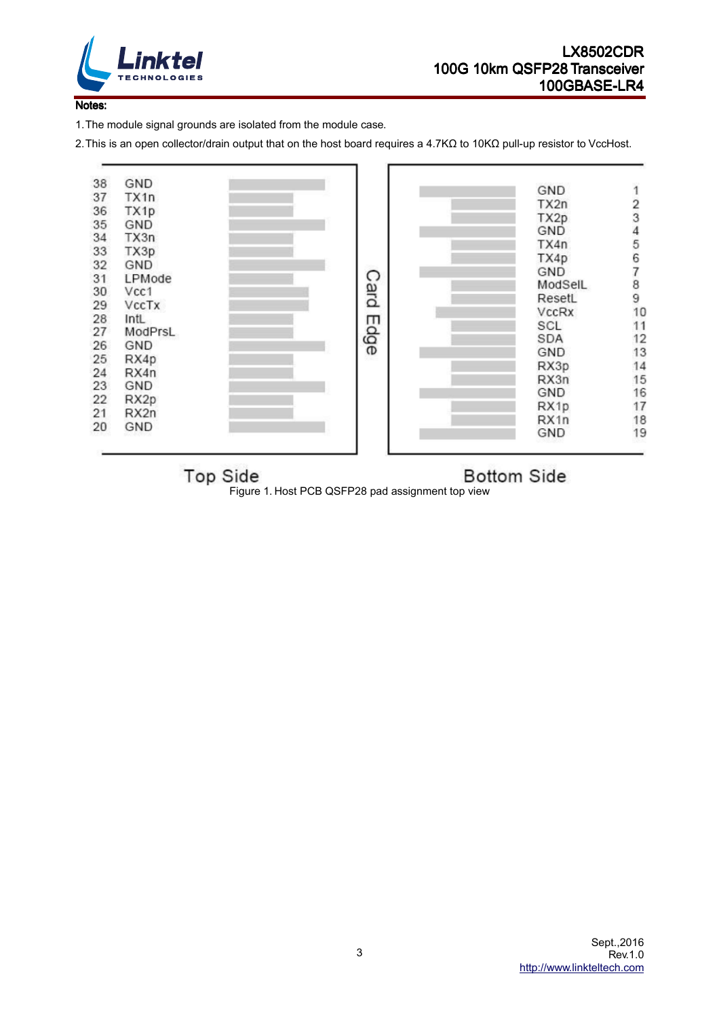

#### Notes:

1. The module signal grounds are isolated from the module case.

2. This is an open collector/drain output that on the host board requires a 4.7KΩ to 10KΩ pull-up resistor to VccHost.



**Top Side** 

**Bottom Side** 

Figure 1. Host PCB QSFP28 pad assignment top view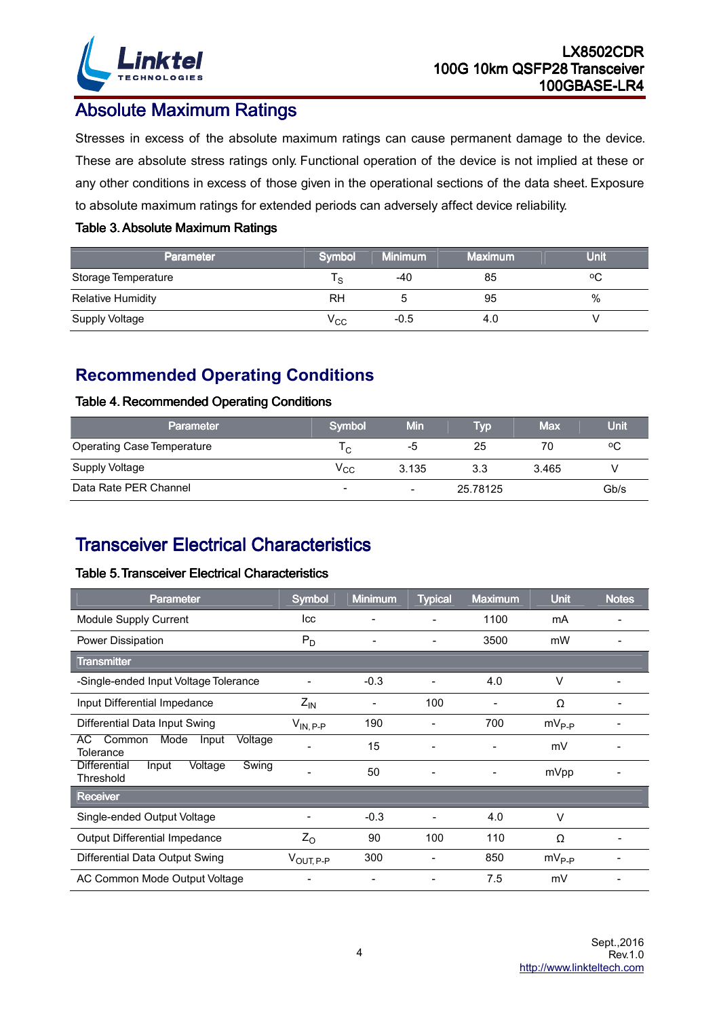

### **Absolute Maximum Ratings**

Stresses in excess of the absolute maximum ratings can cause permanent damage to the device. These are absolute stress ratings only. Functional operation of the device is not implied at these or any other conditions in excess of those given in the operational sections of the data sheet. Exposure to absolute maximum ratings for extended periods can adversely affect device reliability.

#### Table 3. Absolute Maximum Ratings

| Parameter                | <b>Symbol</b> | <b>Minimum</b> | <b>Maximum</b> | Unit |
|--------------------------|---------------|----------------|----------------|------|
| Storage Temperature      | 's            | -40            | 85             | ٥C   |
| <b>Relative Humidity</b> | RH            |                | 95             | %    |
| Supply Voltage           | $\rm V_{CC}$  | $-0.5$         | 4.0            |      |

### **Recommended Operating Conditions**

#### Table 4. Recommended Operating Conditions

| <b>Parameter</b>                  | Symbol         | Min            | <b>Tvo</b> | <b>Max</b> | Unit |
|-----------------------------------|----------------|----------------|------------|------------|------|
| <b>Operating Case Temperature</b> | ١c.            | -5             | 25         | 70         | ٥C   |
| <b>Supply Voltage</b>             | $\rm v_{cc}$   | 3.135          | 3.3        | 3.465      |      |
| Data Rate PER Channel             | $\blacksquare$ | $\blacksquare$ | 25.78125   |            | Gb/s |

# **Transceiver Electrical Characteristics**

#### Table 5. Transceiver Electrical Characteristics

| Parameter                                                     | <b>Symbol</b>         | <b>Minimum</b> | <b>Typical</b> | <b>Maximum</b> | <b>Unit</b> | <b>Notes</b> |
|---------------------------------------------------------------|-----------------------|----------------|----------------|----------------|-------------|--------------|
| Module Supply Current                                         | Icc                   |                |                | 1100           | mA          |              |
| Power Dissipation                                             | $P_D$                 |                | -              | 3500           | mW          |              |
| <b>Transmitter</b>                                            |                       |                |                |                |             |              |
| -Single-ended Input Voltage Tolerance                         |                       | $-0.3$         |                | 4.0            | v           |              |
| Input Differential Impedance                                  | $Z_{IN}$              | -              | 100            |                | Ω           |              |
| Differential Data Input Swing                                 | $V_{IN, P-P}$         | 190            |                | 700            | $mV_{P-P}$  |              |
| Common<br>Mode<br>Voltage<br>AC.<br>Input<br>Tolerance        |                       | 15             |                |                | mV          |              |
| Swing<br><b>Differential</b><br>Input<br>Voltage<br>Threshold |                       | 50             |                |                | mVpp        |              |
| <b>Receiver</b>                                               |                       |                |                |                |             |              |
| Single-ended Output Voltage                                   |                       | $-0.3$         |                | 4.0            | $\vee$      |              |
| Output Differential Impedance                                 | $Z_{O}$               | 90             | 100            | 110            | Ω           |              |
| Differential Data Output Swing                                | $V_{\text{OUT, P-P}}$ | 300            |                | 850            | $mV_{P-P}$  |              |
| AC Common Mode Output Voltage                                 |                       |                |                | 7.5            | mV          |              |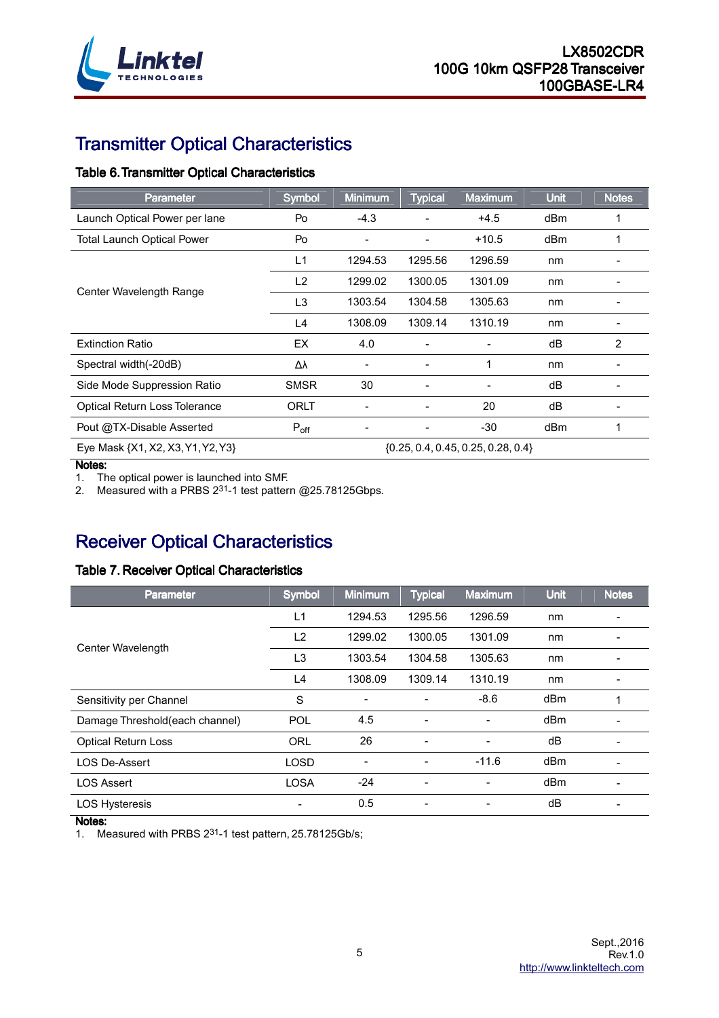

# **Transmitter Optical Characteristics**

#### Table 6. Transmitter Optical Characteristics

| <b>Parameter</b>                  | <b>Symbol</b>  | <b>Minimum</b> | <b>Typical</b> | <b>Maximum</b>                         | <b>Unit</b> | <b>Notes</b> |
|-----------------------------------|----------------|----------------|----------------|----------------------------------------|-------------|--------------|
| Launch Optical Power per lane     | Po             | $-4.3$         |                | $+4.5$                                 | dBm         |              |
| <b>Total Launch Optical Power</b> | Po             | -              |                | $+10.5$                                | dBm         | 1            |
|                                   | L1             | 1294.53        | 1295.56        | 1296.59                                | nm          |              |
|                                   | L <sub>2</sub> | 1299.02        | 1300.05        | 1301.09                                | nm          |              |
| Center Wavelength Range           | L <sub>3</sub> | 1303.54        | 1304.58        | 1305.63                                | nm          |              |
|                                   | L4             | 1308.09        | 1309.14        | 1310.19                                | nm          |              |
| <b>Extinction Ratio</b>           | EX             | 4.0            |                |                                        | dB          | 2            |
| Spectral width(-20dB)             | Δλ             |                |                |                                        | nm          |              |
| Side Mode Suppression Ratio       | <b>SMSR</b>    | 30             |                |                                        | dB          |              |
| Optical Return Loss Tolerance     | ORLT           |                |                | 20                                     | dB          |              |
| Pout @TX-Disable Asserted         | $P_{off}$      |                |                | $-30$                                  | dBm         |              |
| Eye Mask {X1, X2, X3, Y1, Y2, Y3} |                |                |                | $\{0.25, 0.4, 0.45, 0.25, 0.28, 0.4\}$ |             |              |

Notes:

1. The optical power is launched into SMF.

2. Measured with a PRBS 2<sup>31</sup>-1 test pattern @25.78125Gbps.

# **Receiver Optical Characteristics**

#### Table 7. Receiver Optical Characteristics

| <b>Parameter</b>               | <b>Symbol</b>  | <b>Minimum</b>           | <b>Typical</b> | Maximum                  | <b>Unit</b> | <b>Notes</b> |
|--------------------------------|----------------|--------------------------|----------------|--------------------------|-------------|--------------|
|                                | L <sub>1</sub> | 1294.53                  | 1295.56        | 1296.59                  | nm          |              |
| Center Wavelength              | L2             | 1299.02                  | 1300.05        | 1301.09                  | nm          |              |
|                                | L <sub>3</sub> | 1303.54                  | 1304.58        | 1305.63                  | nm          |              |
|                                | L4             | 1308.09                  | 1309.14        | 1310.19                  | nm          |              |
| Sensitivity per Channel        | S              |                          |                | $-8.6$                   | dBm         |              |
| Damage Threshold(each channel) | <b>POL</b>     | 4.5                      | -              | ٠                        | dBm         |              |
| Optical Return Loss            | <b>ORL</b>     | 26                       | -              | $\overline{\phantom{a}}$ | dB          |              |
| <b>LOS De-Assert</b>           | <b>LOSD</b>    | $\overline{\phantom{0}}$ |                | $-11.6$                  | dBm         |              |
| <b>LOS Assert</b>              | <b>LOSA</b>    | $-24$                    |                |                          | dBm         |              |
| <b>LOS Hysteresis</b>          |                | 0.5                      |                |                          | dB          |              |

Notes:

1. Measured with PRBS 231-1 test pattern, 25.78125Gb/s;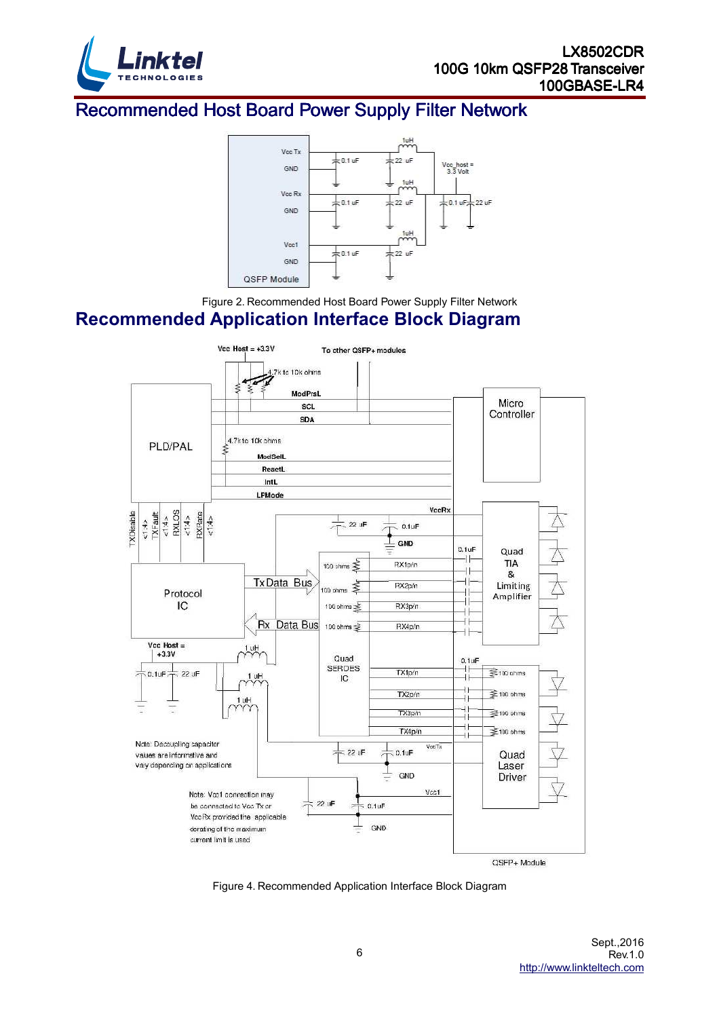

## Recommended Host Board Power Supply Filter Network



Figure 2. Recommended Host Board Power Supply Filter Network

### **Recommended Application Interface Block Diagram**



Figure 4. Recommended Application Interface Block Diagram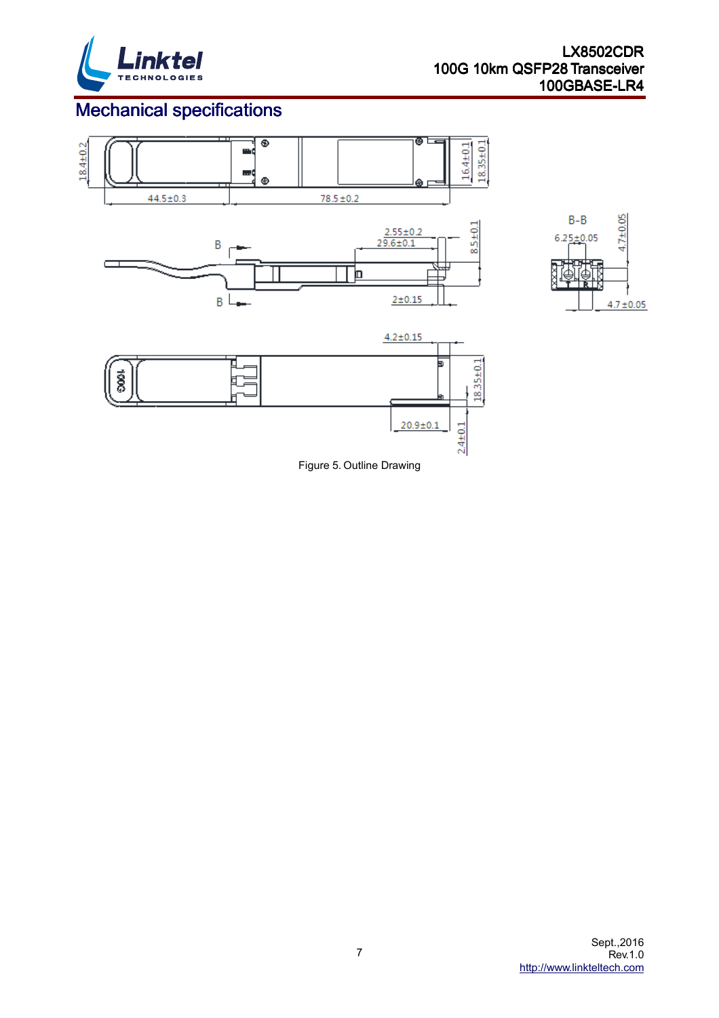

 $4.7 + 0.05$ 

# **Mechanical specifications**